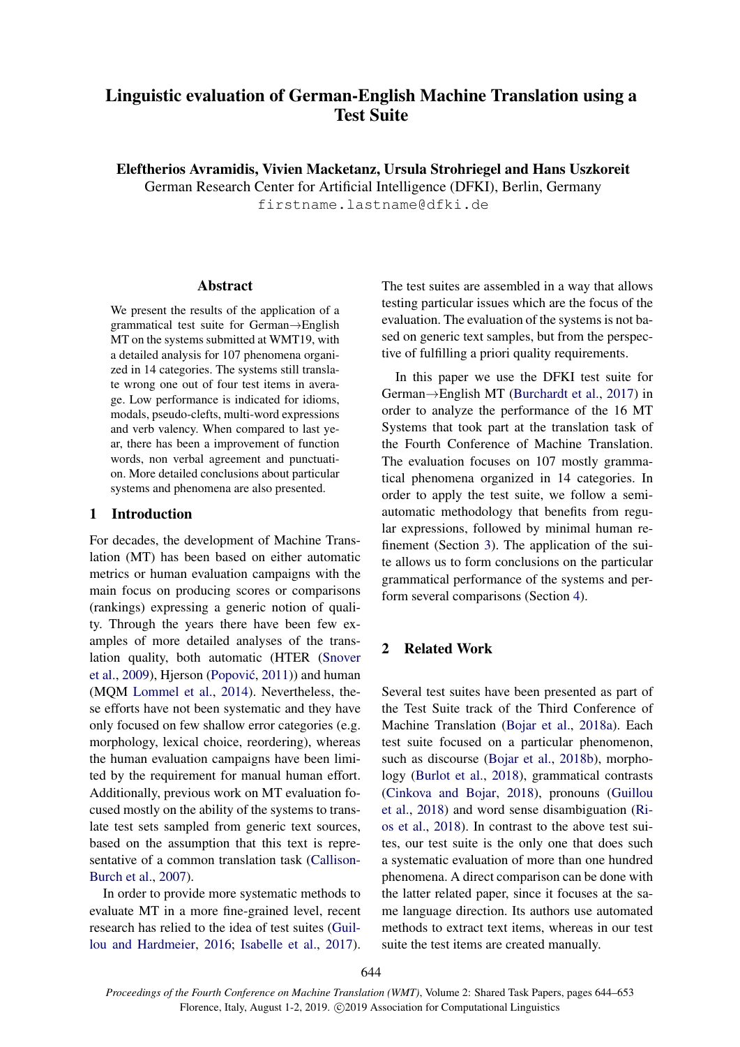# <span id="page-0-0"></span>Linguistic evaluation of German-English Machine Translation using a Test Suite

Eleftherios Avramidis, Vivien Macketanz, Ursula Strohriegel and Hans Uszkoreit

German Research Center for Artificial Intelligence (DFKI), Berlin, Germany

firstname.lastname@dfki.de

## Abstract

We present the results of the application of a grammatical test suite for German→English MT on the systems submitted at WMT19, with a detailed analysis for 107 phenomena organized in 14 categories. The systems still translate wrong one out of four test items in average. Low performance is indicated for idioms, modals, pseudo-clefts, multi-word expressions and verb valency. When compared to last year, there has been a improvement of function words, non verbal agreement and punctuation. More detailed conclusions about particular systems and phenomena are also presented.

## 1 Introduction

For decades, the development of Machine Translation (MT) has been based on either automatic metrics or human evaluation campaigns with the main focus on producing scores or comparisons (rankings) expressing a generic notion of quality. Through the years there have been few examples of more detailed analyses of the translation quality, both automatic (HTER [\(Snover](#page-5-0) [et al.,](#page-5-0) [2009\)](#page-5-0), Hjerson (Popović, [2011\)](#page-5-1)) and human (MQM [Lommel et al.,](#page-5-2) [2014\)](#page-5-2). Nevertheless, these efforts have not been systematic and they have only focused on few shallow error categories (e.g. morphology, lexical choice, reordering), whereas the human evaluation campaigns have been limited by the requirement for manual human effort. Additionally, previous work on MT evaluation focused mostly on the ability of the systems to translate test sets sampled from generic text sources, based on the assumption that this text is representative of a common translation task [\(Callison-](#page-4-0)[Burch et al.,](#page-4-0) [2007\)](#page-4-0).

In order to provide more systematic methods to evaluate MT in a more fine-grained level, recent research has relied to the idea of test suites [\(Guil](#page-5-3)[lou and Hardmeier,](#page-5-3) [2016;](#page-5-3) [Isabelle et al.,](#page-5-4) [2017\)](#page-5-4). The test suites are assembled in a way that allows testing particular issues which are the focus of the evaluation. The evaluation of the systems is not based on generic text samples, but from the perspective of fulfilling a priori quality requirements.

In this paper we use the DFKI test suite for German→English MT [\(Burchardt et al.,](#page-4-1) [2017\)](#page-4-1) in order to analyze the performance of the 16 MT Systems that took part at the translation task of the Fourth Conference of Machine Translation. The evaluation focuses on 107 mostly grammatical phenomena organized in 14 categories. In order to apply the test suite, we follow a semiautomatic methodology that benefits from regular expressions, followed by minimal human refinement (Section [3\)](#page-1-0). The application of the suite allows us to form conclusions on the particular grammatical performance of the systems and perform several comparisons (Section [4\)](#page-2-0).

## 2 Related Work

Several test suites have been presented as part of the Test Suite track of the Third Conference of Machine Translation [\(Bojar et al.,](#page-4-2) [2018a\)](#page-4-2). Each test suite focused on a particular phenomenon, such as discourse [\(Bojar et al.,](#page-4-3) [2018b\)](#page-4-3), morphology [\(Burlot et al.,](#page-4-4) [2018\)](#page-4-4), grammatical contrasts [\(Cinkova and Bojar,](#page-5-5) [2018\)](#page-5-5), pronouns [\(Guillou](#page-5-6) [et al.,](#page-5-6) [2018\)](#page-5-6) and word sense disambiguation [\(Ri](#page-5-7)[os et al.,](#page-5-7) [2018\)](#page-5-7). In contrast to the above test suites, our test suite is the only one that does such a systematic evaluation of more than one hundred phenomena. A direct comparison can be done with the latter related paper, since it focuses at the same language direction. Its authors use automated methods to extract text items, whereas in our test suite the test items are created manually.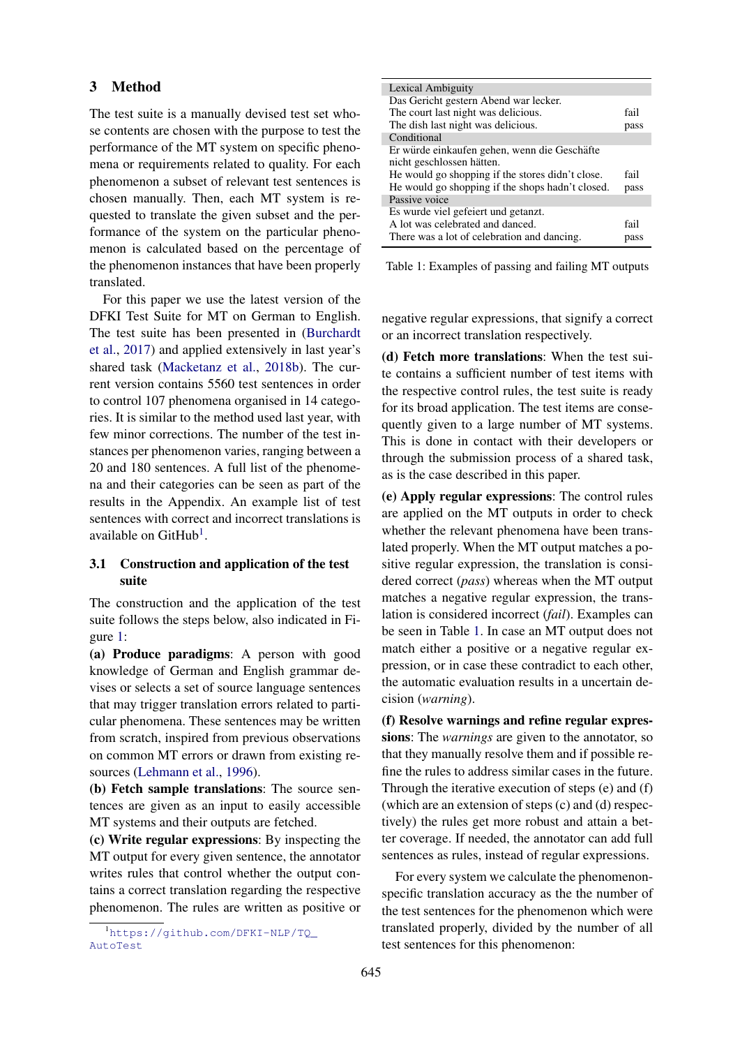## <span id="page-1-0"></span>3 Method

The test suite is a manually devised test set whose contents are chosen with the purpose to test the performance of the MT system on specific phenomena or requirements related to quality. For each phenomenon a subset of relevant test sentences is chosen manually. Then, each MT system is requested to translate the given subset and the performance of the system on the particular phenomenon is calculated based on the percentage of the phenomenon instances that have been properly translated.

For this paper we use the latest version of the DFKI Test Suite for MT on German to English. The test suite has been presented in [\(Burchardt](#page-4-1) [et al.,](#page-4-1) [2017\)](#page-4-1) and applied extensively in last year's shared task [\(Macketanz et al.,](#page-5-8) [2018b\)](#page-5-8). The current version contains 5560 test sentences in order to control 107 phenomena organised in 14 categories. It is similar to the method used last year, with few minor corrections. The number of the test instances per phenomenon varies, ranging between a 20 and 180 sentences. A full list of the phenomena and their categories can be seen as part of the results in the Appendix. An example list of test sentences with correct and incorrect translations is available on GitHub<sup>[1](#page-0-0)</sup>.

## 3.1 Construction and application of the test suite

The construction and the application of the test suite follows the steps below, also indicated in Figure [1:](#page-2-1)

(a) Produce paradigms: A person with good knowledge of German and English grammar devises or selects a set of source language sentences that may trigger translation errors related to particular phenomena. These sentences may be written from scratch, inspired from previous observations on common MT errors or drawn from existing resources [\(Lehmann et al.,](#page-5-9) [1996\)](#page-5-9).

(b) Fetch sample translations: The source sentences are given as an input to easily accessible MT systems and their outputs are fetched.

(c) Write regular expressions: By inspecting the MT output for every given sentence, the annotator writes rules that control whether the output contains a correct translation regarding the respective phenomenon. The rules are written as positive or

<span id="page-1-1"></span>

| Lexical Ambiguity                                |      |
|--------------------------------------------------|------|
| Das Gericht gestern Abend war lecker.            |      |
| The court last night was delicious.              | fail |
| The dish last night was delicious.               | pass |
| Conditional                                      |      |
| Er würde einkaufen gehen, wenn die Geschäfte     |      |
| nicht geschlossen hätten.                        |      |
| He would go shopping if the stores didn't close. | fail |
| He would go shopping if the shops hadn't closed. | pass |
| Passive voice                                    |      |
| Es wurde viel gefeiert und getanzt.              |      |
| A lot was celebrated and danced.                 | fail |
| There was a lot of celebration and dancing.      | pass |

Table 1: Examples of passing and failing MT outputs

negative regular expressions, that signify a correct or an incorrect translation respectively.

(d) Fetch more translations: When the test suite contains a sufficient number of test items with the respective control rules, the test suite is ready for its broad application. The test items are consequently given to a large number of MT systems. This is done in contact with their developers or through the submission process of a shared task, as is the case described in this paper.

(e) Apply regular expressions: The control rules are applied on the MT outputs in order to check whether the relevant phenomena have been translated properly. When the MT output matches a positive regular expression, the translation is considered correct (*pass*) whereas when the MT output matches a negative regular expression, the translation is considered incorrect (*fail*). Examples can be seen in Table [1.](#page-1-1) In case an MT output does not match either a positive or a negative regular expression, or in case these contradict to each other, the automatic evaluation results in a uncertain decision (*warning*).

(f) Resolve warnings and refine regular expressions: The *warnings* are given to the annotator, so that they manually resolve them and if possible refine the rules to address similar cases in the future. Through the iterative execution of steps (e) and (f) (which are an extension of steps (c) and (d) respectively) the rules get more robust and attain a better coverage. If needed, the annotator can add full sentences as rules, instead of regular expressions.

For every system we calculate the phenomenonspecific translation accuracy as the the number of the test sentences for the phenomenon which were translated properly, divided by the number of all test sentences for this phenomenon:

<sup>1</sup>[https://github.com/DFKI-NLP/TQ\\_](https://github.com/DFKI-NLP/TQ_AutoTest) [AutoTest](https://github.com/DFKI-NLP/TQ_AutoTest)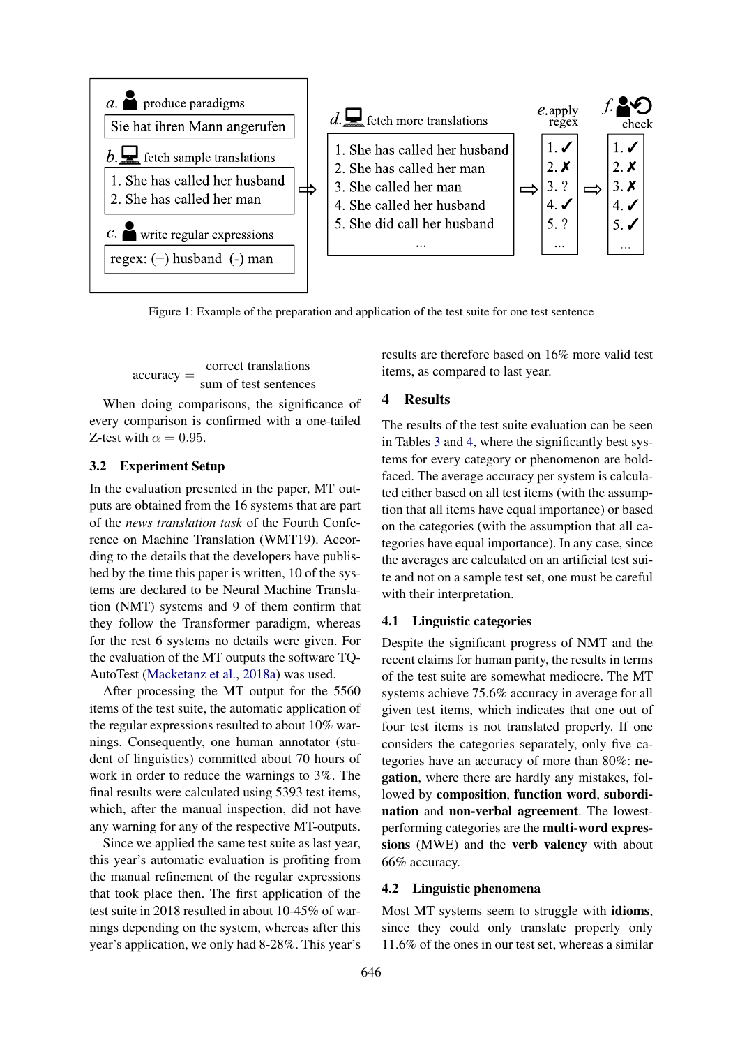<span id="page-2-1"></span>

Figure 1: Example of the preparation and application of the test suite for one test sentence

 $accuracy = \frac{correct \ translations}{\cosh{t}}$ sum of test sentences

When doing comparisons, the significance of every comparison is confirmed with a one-tailed Z-test with  $\alpha = 0.95$ .

#### 3.2 Experiment Setup

In the evaluation presented in the paper, MT outputs are obtained from the 16 systems that are part of the *news translation task* of the Fourth Conference on Machine Translation (WMT19). According to the details that the developers have published by the time this paper is written, 10 of the systems are declared to be Neural Machine Translation (NMT) systems and 9 of them confirm that they follow the Transformer paradigm, whereas for the rest 6 systems no details were given. For the evaluation of the MT outputs the software TQ-AutoTest [\(Macketanz et al.,](#page-5-10) [2018a\)](#page-5-10) was used.

After processing the MT output for the 5560 items of the test suite, the automatic application of the regular expressions resulted to about 10% warnings. Consequently, one human annotator (student of linguistics) committed about 70 hours of work in order to reduce the warnings to 3%. The final results were calculated using 5393 test items, which, after the manual inspection, did not have any warning for any of the respective MT-outputs.

Since we applied the same test suite as last year, this year's automatic evaluation is profiting from the manual refinement of the regular expressions that took place then. The first application of the test suite in 2018 resulted in about 10-45% of warnings depending on the system, whereas after this year's application, we only had 8-28%. This year's

results are therefore based on 16% more valid test items, as compared to last year.

## <span id="page-2-0"></span>4 Results

The results of the test suite evaluation can be seen in Tables [3](#page-6-0) and [4,](#page-6-1) where the significantly best systems for every category or phenomenon are boldfaced. The average accuracy per system is calculated either based on all test items (with the assumption that all items have equal importance) or based on the categories (with the assumption that all categories have equal importance). In any case, since the averages are calculated on an artificial test suite and not on a sample test set, one must be careful with their interpretation.

## 4.1 Linguistic categories

Despite the significant progress of NMT and the recent claims for human parity, the results in terms of the test suite are somewhat mediocre. The MT systems achieve 75.6% accuracy in average for all given test items, which indicates that one out of four test items is not translated properly. If one considers the categories separately, only five categories have an accuracy of more than 80%: negation, where there are hardly any mistakes, followed by composition, function word, subordination and non-verbal agreement. The lowestperforming categories are the multi-word expressions (MWE) and the verb valency with about 66% accuracy.

#### 4.2 Linguistic phenomena

Most MT systems seem to struggle with idioms, since they could only translate properly only 11.6% of the ones in our test set, whereas a similar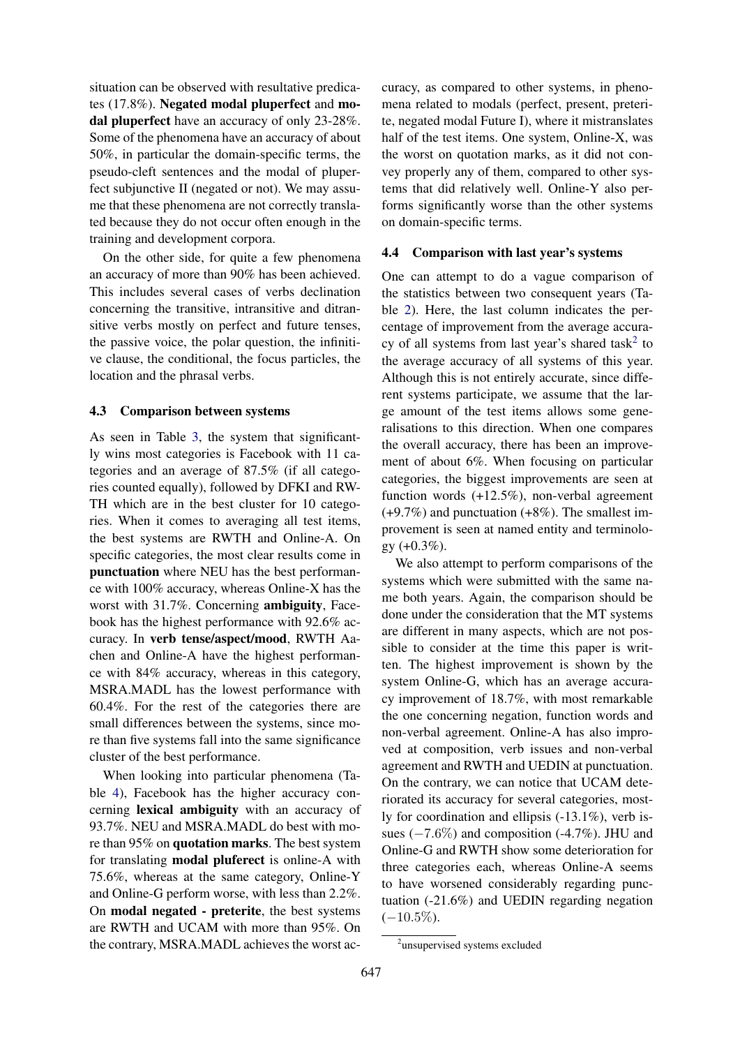situation can be observed with resultative predicates (17.8%). Negated modal pluperfect and modal pluperfect have an accuracy of only 23-28%. Some of the phenomena have an accuracy of about 50%, in particular the domain-specific terms, the pseudo-cleft sentences and the modal of pluperfect subjunctive II (negated or not). We may assume that these phenomena are not correctly translated because they do not occur often enough in the training and development corpora.

On the other side, for quite a few phenomena an accuracy of more than 90% has been achieved. This includes several cases of verbs declination concerning the transitive, intransitive and ditransitive verbs mostly on perfect and future tenses, the passive voice, the polar question, the infinitive clause, the conditional, the focus particles, the location and the phrasal verbs.

#### 4.3 Comparison between systems

As seen in Table [3,](#page-6-0) the system that significantly wins most categories is Facebook with 11 categories and an average of 87.5% (if all categories counted equally), followed by DFKI and RW-TH which are in the best cluster for 10 categories. When it comes to averaging all test items, the best systems are RWTH and Online-A. On specific categories, the most clear results come in punctuation where NEU has the best performance with 100% accuracy, whereas Online-X has the worst with 31.7%. Concerning ambiguity, Facebook has the highest performance with 92.6% accuracy. In verb tense/aspect/mood, RWTH Aachen and Online-A have the highest performance with 84% accuracy, whereas in this category, MSRA.MADL has the lowest performance with 60.4%. For the rest of the categories there are small differences between the systems, since more than five systems fall into the same significance cluster of the best performance.

When looking into particular phenomena (Table [4\)](#page-6-1), Facebook has the higher accuracy concerning lexical ambiguity with an accuracy of 93.7%. NEU and MSRA.MADL do best with more than 95% on quotation marks. The best system for translating modal pluferect is online-A with 75.6%, whereas at the same category, Online-Y and Online-G perform worse, with less than 2.2%. On modal negated - preterite, the best systems are RWTH and UCAM with more than 95%. On the contrary, MSRA.MADL achieves the worst accuracy, as compared to other systems, in phenomena related to modals (perfect, present, preterite, negated modal Future I), where it mistranslates half of the test items. One system, Online-X, was the worst on quotation marks, as it did not convey properly any of them, compared to other systems that did relatively well. Online-Y also performs significantly worse than the other systems on domain-specific terms.

### 4.4 Comparison with last year's systems

One can attempt to do a vague comparison of the statistics between two consequent years (Table [2\)](#page-4-5). Here, the last column indicates the percentage of improvement from the average accura-cy of all systems from last year's shared task<sup>[2](#page-0-0)</sup> to the average accuracy of all systems of this year. Although this is not entirely accurate, since different systems participate, we assume that the large amount of the test items allows some generalisations to this direction. When one compares the overall accuracy, there has been an improvement of about 6%. When focusing on particular categories, the biggest improvements are seen at function words (+12.5%), non-verbal agreement  $(+9.7\%)$  and punctuation  $(+8\%)$ . The smallest improvement is seen at named entity and terminology  $(+0.3\%)$ .

We also attempt to perform comparisons of the systems which were submitted with the same name both years. Again, the comparison should be done under the consideration that the MT systems are different in many aspects, which are not possible to consider at the time this paper is written. The highest improvement is shown by the system Online-G, which has an average accuracy improvement of 18.7%, with most remarkable the one concerning negation, function words and non-verbal agreement. Online-A has also improved at composition, verb issues and non-verbal agreement and RWTH and UEDIN at punctuation. On the contrary, we can notice that UCAM deteriorated its accuracy for several categories, mostly for coordination and ellipsis (-13.1%), verb issues  $(-7.6\%)$  and composition  $(-4.7\%)$ . JHU and Online-G and RWTH show some deterioration for three categories each, whereas Online-A seems to have worsened considerably regarding punctuation (-21.6%) and UEDIN regarding negation  $(-10.5\%).$ 

<sup>&</sup>lt;sup>2</sup>unsupervised systems excluded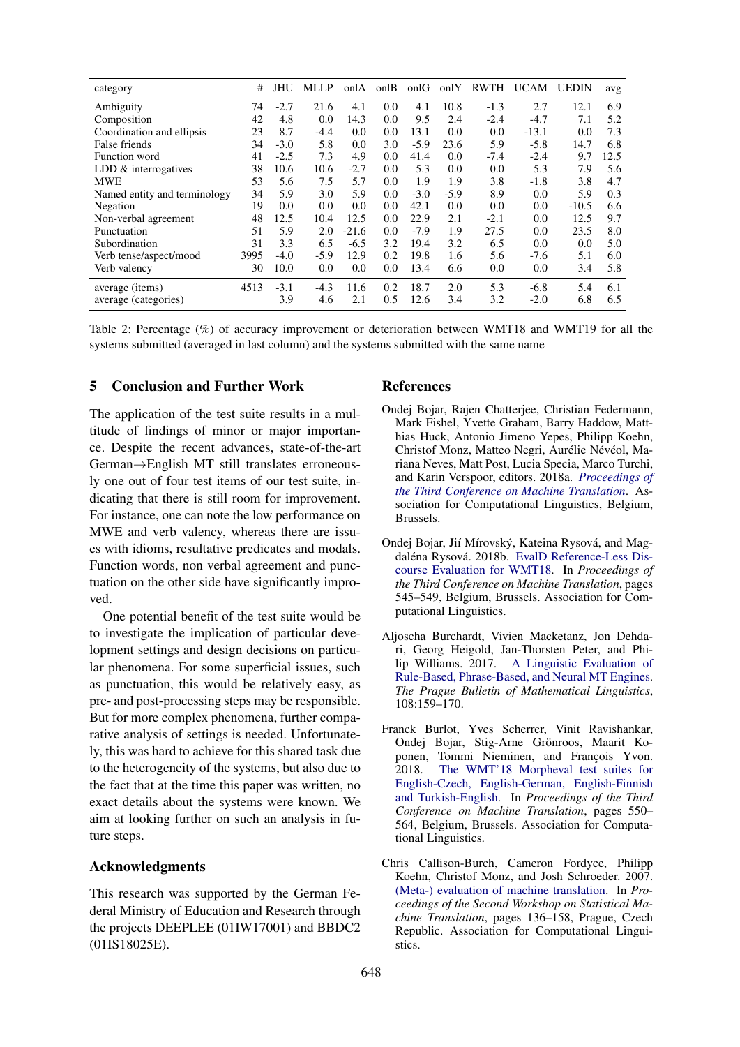<span id="page-4-5"></span>

| category                     | #    | JHU    | <b>MLLP</b> | onlA    | onlB | onlG   | onlY   | RWTH   | <b>UCAM</b> | <b>UEDIN</b> | avg  |
|------------------------------|------|--------|-------------|---------|------|--------|--------|--------|-------------|--------------|------|
| Ambiguity                    | 74   | $-2.7$ | 21.6        | 4.1     | 0.0  | 4.1    | 10.8   | $-1.3$ | 2.7         | 12.1         | 6.9  |
| Composition                  | 42   | 4.8    | 0.0         | 14.3    | 0.0  | 9.5    | 2.4    | $-2.4$ | $-4.7$      | 7.1          | 5.2  |
| Coordination and ellipsis    | 23   | 8.7    | $-4.4$      | 0.0     | 0.0  | 13.1   | 0.0    | 0.0    | $-13.1$     | 0.0          | 7.3  |
| False friends                | 34   | $-3.0$ | 5.8         | 0.0     | 3.0  | $-5.9$ | 23.6   | 5.9    | $-5.8$      | 14.7         | 6.8  |
| Function word                | 41   | $-2.5$ | 7.3         | 4.9     | 0.0  | 41.4   | 0.0    | $-7.4$ | $-2.4$      | 9.7          | 12.5 |
| LDD $&$ interrogatives       | 38   | 10.6   | 10.6        | $-2.7$  | 0.0  | 5.3    | 0.0    | 0.0    | 5.3         | 7.9          | 5.6  |
| <b>MWE</b>                   | 53   | 5.6    | 7.5         | 5.7     | 0.0  | 1.9    | 1.9    | 3.8    | $-1.8$      | 3.8          | 4.7  |
| Named entity and terminology | 34   | 5.9    | 3.0         | 5.9     | 0.0  | $-3.0$ | $-5.9$ | 8.9    | 0.0         | 5.9          | 0.3  |
| Negation                     | 19   | 0.0    | 0.0         | 0.0     | 0.0  | 42.1   | 0.0    | 0.0    | 0.0         | $-10.5$      | 6.6  |
| Non-verbal agreement         | 48   | 12.5   | 10.4        | 12.5    | 0.0  | 22.9   | 2.1    | $-2.1$ | 0.0         | 12.5         | 9.7  |
| Punctuation                  | 51   | 5.9    | 2.0         | $-21.6$ | 0.0  | $-7.9$ | 1.9    | 27.5   | 0.0         | 23.5         | 8.0  |
| Subordination                | 31   | 3.3    | 6.5         | $-6.5$  | 3.2  | 19.4   | 3.2    | 6.5    | 0.0         | 0.0          | 5.0  |
| Verb tense/aspect/mood       | 3995 | $-4.0$ | $-5.9$      | 12.9    | 0.2  | 19.8   | 1.6    | 5.6    | $-7.6$      | 5.1          | 6.0  |
| Verb valency                 | 30   | 10.0   | 0.0         | 0.0     | 0.0  | 13.4   | 6.6    | 0.0    | 0.0         | 3.4          | 5.8  |
| average (items)              | 4513 | $-3.1$ | $-4.3$      | 11.6    | 0.2  | 18.7   | 2.0    | 5.3    | $-6.8$      | 5.4          | 6.1  |
| average (categories)         |      | 3.9    | 4.6         | 2.1     | 0.5  | 12.6   | 3.4    | 3.2    | $-2.0$      | 6.8          | 6.5  |

Table 2: Percentage (%) of accuracy improvement or deterioration between WMT18 and WMT19 for all the systems submitted (averaged in last column) and the systems submitted with the same name

### 5 Conclusion and Further Work

The application of the test suite results in a multitude of findings of minor or major importance. Despite the recent advances, state-of-the-art German→English MT still translates erroneously one out of four test items of our test suite, indicating that there is still room for improvement. For instance, one can note the low performance on MWE and verb valency, whereas there are issues with idioms, resultative predicates and modals. Function words, non verbal agreement and punctuation on the other side have significantly improved.

One potential benefit of the test suite would be to investigate the implication of particular development settings and design decisions on particular phenomena. For some superficial issues, such as punctuation, this would be relatively easy, as pre- and post-processing steps may be responsible. But for more complex phenomena, further comparative analysis of settings is needed. Unfortunately, this was hard to achieve for this shared task due to the heterogeneity of the systems, but also due to the fact that at the time this paper was written, no exact details about the systems were known. We aim at looking further on such an analysis in future steps.

## Acknowledgments

This research was supported by the German Federal Ministry of Education and Research through the projects DEEPLEE (01IW17001) and BBDC2 (01IS18025E).

#### References

- <span id="page-4-2"></span>Ondej Bojar, Rajen Chatterjee, Christian Federmann, Mark Fishel, Yvette Graham, Barry Haddow, Matthias Huck, Antonio Jimeno Yepes, Philipp Koehn, Christof Monz, Matteo Negri, Aurélie Névéol, Mariana Neves, Matt Post, Lucia Specia, Marco Turchi, and Karin Verspoor, editors. 2018a. *[Proceedings of](http://www.aclweb.org/anthology/W18-64) [the Third Conference on Machine Translation](http://www.aclweb.org/anthology/W18-64)*. Association for Computational Linguistics, Belgium, Brussels.
- <span id="page-4-3"></span>Ondej Bojar, Jií Mírovský, Kateina Rysová, and Mag-daléna Rysová. 2018b. [EvalD Reference-Less Dis](http://www.aclweb.org/anthology/W18-64059)[course Evaluation for WMT18.](http://www.aclweb.org/anthology/W18-64059) In *Proceedings of the Third Conference on Machine Translation*, pages 545–549, Belgium, Brussels. Association for Computational Linguistics.
- <span id="page-4-1"></span>Aljoscha Burchardt, Vivien Macketanz, Jon Dehdari, Georg Heigold, Jan-Thorsten Peter, and Philip Williams. 2017. [A Linguistic Evaluation of](https://doi.org/10.1515/pralin-2017-0017) [Rule-Based, Phrase-Based, and Neural MT Engines.](https://doi.org/10.1515/pralin-2017-0017) *The Prague Bulletin of Mathematical Linguistics*, 108:159–170.
- <span id="page-4-4"></span>Franck Burlot, Yves Scherrer, Vinit Ravishankar, Ondej Bojar, Stig-Arne Gronroos, Maarit Ko- ¨ ponen, Tommi Nieminen, and François Yvon. 2018. [The WMT'18 Morpheval test suites for](http://www.aclweb.org/anthology/W18-64060) [English-Czech, English-German, English-Finnish](http://www.aclweb.org/anthology/W18-64060) [and Turkish-English.](http://www.aclweb.org/anthology/W18-64060) In *Proceedings of the Third Conference on Machine Translation*, pages 550– 564, Belgium, Brussels. Association for Computational Linguistics.
- <span id="page-4-0"></span>Chris Callison-Burch, Cameron Fordyce, Philipp Koehn, Christof Monz, and Josh Schroeder. 2007. [\(Meta-\) evaluation of machine translation.](https://doi.org/10.3115/1626355.1626373) In *Proceedings of the Second Workshop on Statistical Machine Translation*, pages 136–158, Prague, Czech Republic. Association for Computational Linguistics.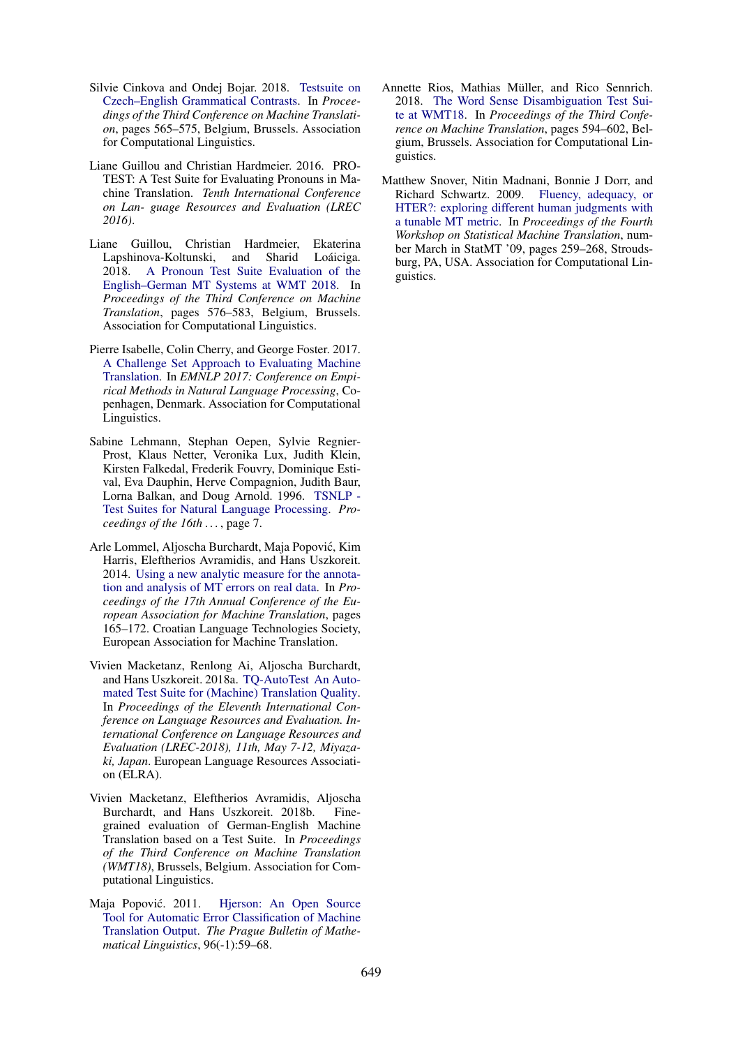- <span id="page-5-5"></span>Silvie Cinkova and Ondej Bojar. 2018. [Testsuite on](http://www.aclweb.org/anthology/W18-64061) [Czech–English Grammatical Contrasts.](http://www.aclweb.org/anthology/W18-64061) In *Proceedings of the Third Conference on Machine Translation*, pages 565–575, Belgium, Brussels. Association for Computational Linguistics.
- <span id="page-5-3"></span>Liane Guillou and Christian Hardmeier. 2016. PRO-TEST: A Test Suite for Evaluating Pronouns in Machine Translation. *Tenth International Conference on Lan- guage Resources and Evaluation (LREC 2016)*.
- <span id="page-5-6"></span>Liane Guillou, Christian Hardmeier, Ekaterina Lapshinova-Koltunski, and Sharid Loáiciga. 2018. [A Pronoun Test Suite Evaluation of the](http://www.aclweb.org/anthology/W18-64062) [English–German MT Systems at WMT 2018.](http://www.aclweb.org/anthology/W18-64062) In *Proceedings of the Third Conference on Machine Translation*, pages 576–583, Belgium, Brussels. Association for Computational Linguistics.
- <span id="page-5-4"></span>Pierre Isabelle, Colin Cherry, and George Foster. 2017. [A Challenge Set Approach to Evaluating Machine](http://arxiv.org/abs/1704.07431) [Translation.](http://arxiv.org/abs/1704.07431) In *EMNLP 2017: Conference on Empirical Methods in Natural Language Processing*, Copenhagen, Denmark. Association for Computational Linguistics.
- <span id="page-5-9"></span>Sabine Lehmann, Stephan Oepen, Sylvie Regnier-Prost, Klaus Netter, Veronika Lux, Judith Klein, Kirsten Falkedal, Frederik Fouvry, Dominique Estival, Eva Dauphin, Herve Compagnion, Judith Baur, Lorna Balkan, and Doug Arnold. 1996. [TSNLP -](http://arxiv.org/abs/9607018) [Test Suites for Natural Language Processing.](http://arxiv.org/abs/9607018) *Proceedings of the 16th . . .* , page 7.
- <span id="page-5-2"></span>Arle Lommel, Aljoscha Burchardt, Maja Popovic, Kim ´ Harris, Eleftherios Avramidis, and Hans Uszkoreit. 2014. [Using a new analytic measure for the annota](http://www.mt-archive.info/10/EAMT-2014-Lommel.pdf)[tion and analysis of MT errors on real data.](http://www.mt-archive.info/10/EAMT-2014-Lommel.pdf) In *Proceedings of the 17th Annual Conference of the European Association for Machine Translation*, pages 165–172. Croatian Language Technologies Society, European Association for Machine Translation.
- <span id="page-5-10"></span>Vivien Macketanz, Renlong Ai, Aljoscha Burchardt, and Hans Uszkoreit. 2018a. [TQ-AutoTest An Auto](http://www.lrec-conf.org/proceedings/lrec2018/summaries/121.html https://www.dfki.de/web/forschung/publikationen/renameFileForDownload?filename=Submission-121.pdf{&}file{_}id=uploads{_}3553)[mated Test Suite for \(Machine\) Translation Quality.](http://www.lrec-conf.org/proceedings/lrec2018/summaries/121.html https://www.dfki.de/web/forschung/publikationen/renameFileForDownload?filename=Submission-121.pdf{&}file{_}id=uploads{_}3553) In *Proceedings of the Eleventh International Conference on Language Resources and Evaluation. International Conference on Language Resources and Evaluation (LREC-2018), 11th, May 7-12, Miyazaki, Japan*. European Language Resources Association (ELRA).
- <span id="page-5-8"></span>Vivien Macketanz, Eleftherios Avramidis, Aljoscha Burchardt, and Hans Uszkoreit. 2018b. Finegrained evaluation of German-English Machine Translation based on a Test Suite. In *Proceedings of the Third Conference on Machine Translation (WMT18)*, Brussels, Belgium. Association for Computational Linguistics.
- <span id="page-5-1"></span>Maja Popović. 2011. [Hjerson: An Open Source](https://doi.org/10.2478/v10108-011-0011-4.PBML) [Tool for Automatic Error Classification of Machine](https://doi.org/10.2478/v10108-011-0011-4.PBML) [Translation Output.](https://doi.org/10.2478/v10108-011-0011-4.PBML) *The Prague Bulletin of Mathematical Linguistics*, 96(-1):59–68.
- <span id="page-5-7"></span>Annette Rios, Mathias Müller, and Rico Sennrich. 2018. [The Word Sense Disambiguation Test Sui](http://www.aclweb.org/anthology/W18-64064)[te at WMT18.](http://www.aclweb.org/anthology/W18-64064) In *Proceedings of the Third Conference on Machine Translation*, pages 594–602, Belgium, Brussels. Association for Computational Linguistics.
- <span id="page-5-0"></span>Matthew Snover, Nitin Madnani, Bonnie J Dorr, and Richard Schwartz. 2009. [Fluency, adequacy, or](http://www.aclweb.org/anthology/W/W09/W09-0x41) [HTER?: exploring different human judgments with](http://www.aclweb.org/anthology/W/W09/W09-0x41) [a tunable MT metric.](http://www.aclweb.org/anthology/W/W09/W09-0x41) In *Proceedings of the Fourth Workshop on Statistical Machine Translation*, number March in StatMT '09, pages 259–268, Stroudsburg, PA, USA. Association for Computational Linguistics.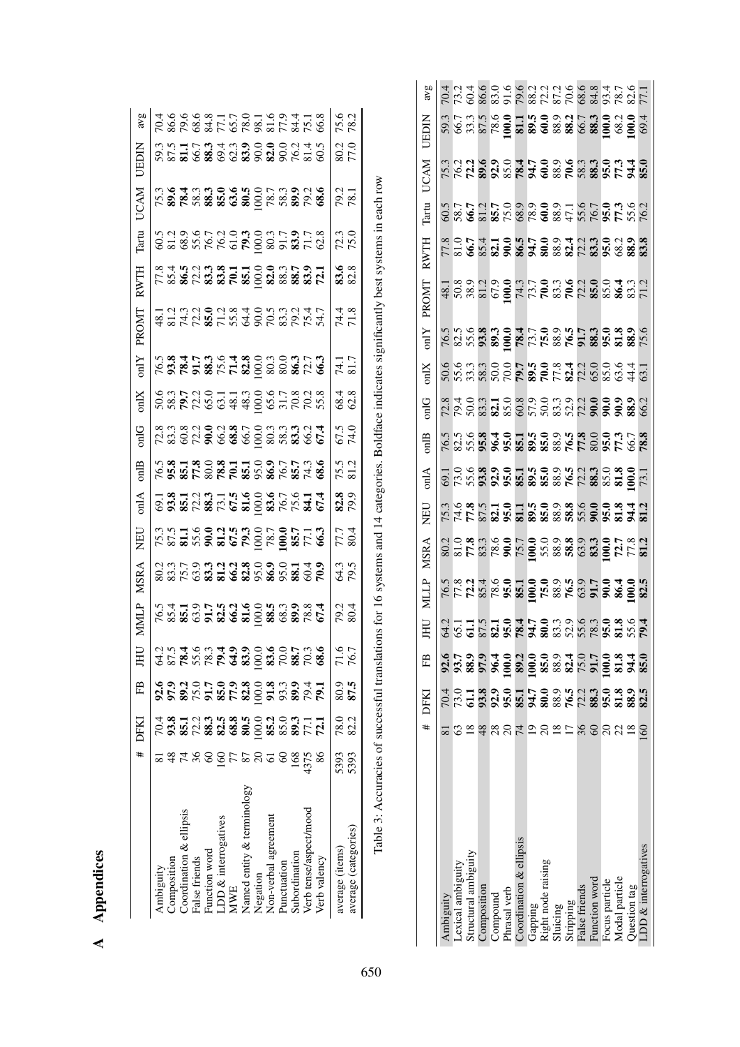<span id="page-6-1"></span><span id="page-6-0"></span>A Appendices A Appendices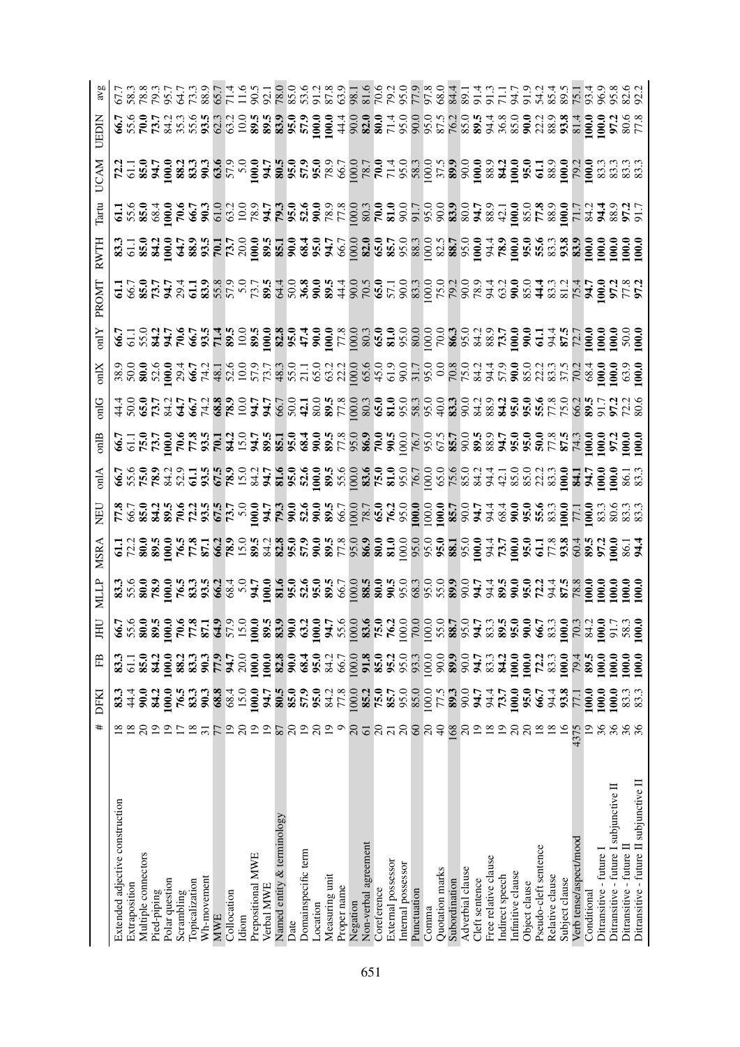| #                        | DFKI             | Ë              | Ħ | MSR/                                                                                                                                                                                                                            | $\lim_{\epsilon \to 0}$ |                                                                                                                                                                                                                                         |  | PROMI | RWTH | Γart | JCAM |                                                                                                                                                                                                                  |
|--------------------------|------------------|----------------|---|---------------------------------------------------------------------------------------------------------------------------------------------------------------------------------------------------------------------------------|-------------------------|-----------------------------------------------------------------------------------------------------------------------------------------------------------------------------------------------------------------------------------------|--|-------|------|------|------|------------------------------------------------------------------------------------------------------------------------------------------------------------------------------------------------------------------|
|                          |                  |                |   |                                                                                                                                                                                                                                 |                         |                                                                                                                                                                                                                                         |  |       |      |      |      |                                                                                                                                                                                                                  |
|                          | य.<br>य          | .<br>ರ         |   |                                                                                                                                                                                                                                 |                         |                                                                                                                                                                                                                                         |  |       |      |      |      |                                                                                                                                                                                                                  |
| $\Omega$                 | 90.0             | 85.0           |   |                                                                                                                                                                                                                                 |                         |                                                                                                                                                                                                                                         |  |       |      |      |      |                                                                                                                                                                                                                  |
| $\overline{0}$           | <b>S4.2</b>      | $\frac{34}{2}$ |   |                                                                                                                                                                                                                                 |                         |                                                                                                                                                                                                                                         |  |       |      |      |      |                                                                                                                                                                                                                  |
| $\overline{5}$           | $\overline{0.0}$ | <b>100.0</b>   |   |                                                                                                                                                                                                                                 |                         |                                                                                                                                                                                                                                         |  |       |      |      |      |                                                                                                                                                                                                                  |
| $\overline{\phantom{0}}$ | 76.5             | 88.2           |   |                                                                                                                                                                                                                                 |                         |                                                                                                                                                                                                                                         |  |       |      |      |      |                                                                                                                                                                                                                  |
| $\overline{18}$          | 83.3             | 83.3           |   |                                                                                                                                                                                                                                 |                         |                                                                                                                                                                                                                                         |  |       |      |      |      |                                                                                                                                                                                                                  |
| $\overline{3}$           | 90.3             | 90.3           |   |                                                                                                                                                                                                                                 |                         |                                                                                                                                                                                                                                         |  |       |      |      |      |                                                                                                                                                                                                                  |
| 77                       | 68.8             | 77.9           |   |                                                                                                                                                                                                                                 |                         |                                                                                                                                                                                                                                         |  |       |      |      |      |                                                                                                                                                                                                                  |
| $\overline{5}$           | 68.4             | 54.7           |   |                                                                                                                                                                                                                                 |                         |                                                                                                                                                                                                                                         |  |       |      |      |      |                                                                                                                                                                                                                  |
| $\overline{c}$           | 15.0             | 20.0           |   |                                                                                                                                                                                                                                 |                         |                                                                                                                                                                                                                                         |  |       |      |      |      |                                                                                                                                                                                                                  |
| $\overline{0}$           | 0.001            | 100.0          |   |                                                                                                                                                                                                                                 |                         |                                                                                                                                                                                                                                         |  |       |      |      |      |                                                                                                                                                                                                                  |
| $\overline{0}$           | 54.7             | 100.0          |   | GUS 2009 EL 2009 EL 3009 2009 EL 2009 EL 2009 EL 2009 EL 2009 EL 2009 EL 2009 EL 2009 EL 2009 EL 2009 EL 2009<br>HOLOGO AL 2009 EL 2009 EL 2009 EL 2009 EL 2009 EL 2009 EL 2009 EL 2009 EL 2009 EL 2009 EL 2009 EL 2009 EL 2009 |                         | $\begin{array}{l} 4\,8\,6\,6\,1\,3\,2\,6\,4\,7\,6\,8\,8\,6\,1\,2\,4\,8\,6\,6\,1\,2\,4\,8\,6\,6\,1\,2\,4\,8\,6\,6\,1\,2\,4\,8\,6\,6\,1\,2\,4\,8\,6\,6\,1\,2\,4\,8\,6\,6\,1\,2\,4\,8\,6\,6\,1\,2\,4\,8\,6\,6\,1\,2\,4\,8\,6\,6\,1\,2\,4\$ |  |       |      |      |      | て 8 8 9 5 5 8 9 5 5 3 8 5 5 5 8 9 8 9 5 5 6 9 8 5 6 5 6 9 8 9 9 5 5 5 6 9 8 9 9 5 6 7 6 9 9 9 9 9 9 1<br>C 8 8 9 5 5 6 7 8 9 5 7 7 9 0 7 4 9 9 7 8 9 7 8 9 5 6 6 7 6 7 6 9 8 9 5 5 5 6 8 9 8 9 7 8 9 8 9 8 9 8 9 |
| 78                       | 80.5             | 82.8           |   |                                                                                                                                                                                                                                 |                         |                                                                                                                                                                                                                                         |  |       |      |      |      |                                                                                                                                                                                                                  |
| $\overline{c}$           | 85.0             | 90.0           |   |                                                                                                                                                                                                                                 |                         |                                                                                                                                                                                                                                         |  |       |      |      |      |                                                                                                                                                                                                                  |
| $\overline{19}$          | 57.9             | 68.4           |   |                                                                                                                                                                                                                                 |                         |                                                                                                                                                                                                                                         |  |       |      |      |      |                                                                                                                                                                                                                  |
| $\overline{c}$           | 95.0             | 95.0           |   |                                                                                                                                                                                                                                 |                         |                                                                                                                                                                                                                                         |  |       |      |      |      |                                                                                                                                                                                                                  |
| $\overline{1}$           | 84.2             | 84.2           |   |                                                                                                                                                                                                                                 |                         |                                                                                                                                                                                                                                         |  |       |      |      |      |                                                                                                                                                                                                                  |
| $\circ$                  | 77.8             | 66.7           |   |                                                                                                                                                                                                                                 |                         |                                                                                                                                                                                                                                         |  |       |      |      |      |                                                                                                                                                                                                                  |
| $\Omega$                 | 00.00            | 100.0          |   |                                                                                                                                                                                                                                 |                         |                                                                                                                                                                                                                                         |  |       |      |      |      |                                                                                                                                                                                                                  |
| $\overline{6}$           | 85.2             | 91.8           |   |                                                                                                                                                                                                                                 |                         |                                                                                                                                                                                                                                         |  |       |      |      |      |                                                                                                                                                                                                                  |
| $\overline{c}$           | 75.0             | 85.0           |   |                                                                                                                                                                                                                                 |                         |                                                                                                                                                                                                                                         |  |       |      |      |      |                                                                                                                                                                                                                  |
| $\overline{z}$           | 85.7             | 95.2           |   |                                                                                                                                                                                                                                 |                         |                                                                                                                                                                                                                                         |  |       |      |      |      |                                                                                                                                                                                                                  |
| $\Omega$                 | 95.0             | 95.0           |   |                                                                                                                                                                                                                                 |                         |                                                                                                                                                                                                                                         |  |       |      |      |      |                                                                                                                                                                                                                  |
| 8                        | 85.0             | 93.3           |   |                                                                                                                                                                                                                                 |                         |                                                                                                                                                                                                                                         |  |       |      |      |      |                                                                                                                                                                                                                  |
| $\overline{c}$           | 00.0             | 100.0          |   |                                                                                                                                                                                                                                 |                         |                                                                                                                                                                                                                                         |  |       |      |      |      |                                                                                                                                                                                                                  |
| $\theta$                 | 77.5             | 90.0           |   |                                                                                                                                                                                                                                 |                         |                                                                                                                                                                                                                                         |  |       |      |      |      |                                                                                                                                                                                                                  |
| 89                       | 89.3             | 89.9           |   |                                                                                                                                                                                                                                 |                         |                                                                                                                                                                                                                                         |  |       |      |      |      |                                                                                                                                                                                                                  |
| $\overline{c}$           | 0.06             | 0.06           |   |                                                                                                                                                                                                                                 |                         |                                                                                                                                                                                                                                         |  |       |      |      |      |                                                                                                                                                                                                                  |
| $\overline{19}$          | 54.7             | 54.7           |   |                                                                                                                                                                                                                                 |                         |                                                                                                                                                                                                                                         |  |       |      |      |      |                                                                                                                                                                                                                  |
|                          | 94.4             | 83.3           |   |                                                                                                                                                                                                                                 |                         |                                                                                                                                                                                                                                         |  |       |      |      |      |                                                                                                                                                                                                                  |
| $\Xi$                    | 73.7             | $\frac{34}{2}$ |   |                                                                                                                                                                                                                                 |                         |                                                                                                                                                                                                                                         |  |       |      |      |      |                                                                                                                                                                                                                  |
| $\Omega$                 | $\overline{0}0$  | 100.0          |   |                                                                                                                                                                                                                                 |                         |                                                                                                                                                                                                                                         |  |       |      |      |      |                                                                                                                                                                                                                  |
| $\Omega$                 | 95.0             | <b>100.0</b>   |   |                                                                                                                                                                                                                                 |                         |                                                                                                                                                                                                                                         |  |       |      |      |      |                                                                                                                                                                                                                  |
| ≌                        | 66.7             | 72.2           |   |                                                                                                                                                                                                                                 |                         |                                                                                                                                                                                                                                         |  |       |      |      |      |                                                                                                                                                                                                                  |
| $\frac{8}{10}$           | 94.4             | 83.3           |   |                                                                                                                                                                                                                                 |                         |                                                                                                                                                                                                                                         |  |       |      |      |      |                                                                                                                                                                                                                  |
| ≌                        | 93.8             | 100.0          |   |                                                                                                                                                                                                                                 |                         |                                                                                                                                                                                                                                         |  |       |      |      |      |                                                                                                                                                                                                                  |
|                          | 17.1             | 79.4           |   |                                                                                                                                                                                                                                 |                         |                                                                                                                                                                                                                                         |  |       |      |      |      |                                                                                                                                                                                                                  |
| $\overline{0}$           | $\overline{00}$  | 89.5           |   |                                                                                                                                                                                                                                 |                         |                                                                                                                                                                                                                                         |  |       |      |      |      |                                                                                                                                                                                                                  |
| 36                       | $\overline{000}$ | 100.0          |   |                                                                                                                                                                                                                                 |                         |                                                                                                                                                                                                                                         |  |       |      |      |      |                                                                                                                                                                                                                  |
| 36                       | $\overline{0}0$  | 100.0          |   |                                                                                                                                                                                                                                 |                         |                                                                                                                                                                                                                                         |  |       |      |      |      |                                                                                                                                                                                                                  |
| 36                       | 83.3             | 100.0          |   |                                                                                                                                                                                                                                 |                         |                                                                                                                                                                                                                                         |  |       |      |      |      |                                                                                                                                                                                                                  |
|                          | 83.3             | 100.0          |   |                                                                                                                                                                                                                                 |                         |                                                                                                                                                                                                                                         |  |       |      |      |      |                                                                                                                                                                                                                  |
|                          |                  |                |   |                                                                                                                                                                                                                                 |                         |                                                                                                                                                                                                                                         |  |       |      |      |      |                                                                                                                                                                                                                  |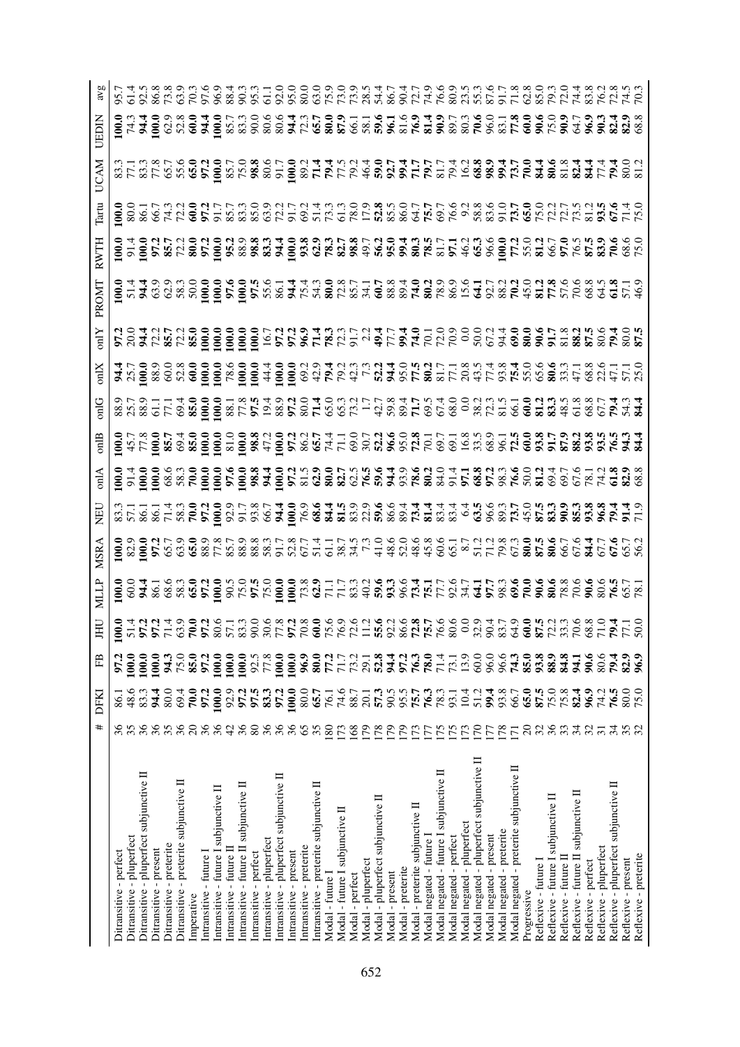|                  |                        |                           |                                          |                        |                          |                                         |            |                         |                                        |                          |                                         |                        |                           |                                          |                        |                          |                                         |                  |                                 |                 |                    |                                   |                 |                   |                                  |                          |                                         |                         |                            |                                           |                         |                           |                                          |             |                      |                                                                                                                                                                                                                                  |                       |                                      |                     |                        | てんころとりている。 しんこうひりりょうてき こうしょうきょういう いっとうじょうこく てんしょう こうしょう こうしょうこう こうりつしょう こうしょう こうしょう こうしょうこく こうしょう |
|------------------|------------------------|---------------------------|------------------------------------------|------------------------|--------------------------|-----------------------------------------|------------|-------------------------|----------------------------------------|--------------------------|-----------------------------------------|------------------------|---------------------------|------------------------------------------|------------------------|--------------------------|-----------------------------------------|------------------|---------------------------------|-----------------|--------------------|-----------------------------------|-----------------|-------------------|----------------------------------|--------------------------|-----------------------------------------|-------------------------|----------------------------|-------------------------------------------|-------------------------|---------------------------|------------------------------------------|-------------|----------------------|----------------------------------------------------------------------------------------------------------------------------------------------------------------------------------------------------------------------------------|-----------------------|--------------------------------------|---------------------|------------------------|---------------------------------------------------------------------------------------------------|
| JEDIN            |                        |                           |                                          |                        |                          |                                         |            |                         |                                        |                          |                                         |                        |                           |                                          |                        |                          |                                         |                  |                                 |                 |                    |                                   |                 |                   |                                  |                          |                                         |                         |                            |                                           |                         |                           |                                          |             |                      | STRISONS SISTERINGS SENTIMES DE SON DISTRICTION DE SON DES CONFIDENTS DE SON DIS                                                                                                                                                 |                       |                                      |                     |                        |                                                                                                   |
| UCAN             |                        |                           |                                          |                        |                          |                                         |            |                         |                                        |                          |                                         |                        |                           |                                          |                        |                          |                                         |                  |                                 |                 |                    |                                   |                 |                   |                                  |                          |                                         |                         |                            |                                           |                         |                           |                                          |             |                      |                                                                                                                                                                                                                                  |                       |                                      |                     |                        |                                                                                                   |
| $\Gamma$ art     |                        |                           |                                          |                        |                          |                                         |            |                         |                                        |                          |                                         |                        |                           |                                          |                        |                          |                                         |                  |                                 |                 |                    |                                   |                 |                   |                                  |                          |                                         |                         |                            |                                           |                         |                           |                                          |             |                      |                                                                                                                                                                                                                                  |                       |                                      |                     |                        |                                                                                                   |
| RWTH             |                        |                           |                                          |                        |                          |                                         |            |                         |                                        |                          |                                         |                        |                           |                                          |                        |                          |                                         |                  |                                 |                 |                    |                                   |                 |                   |                                  |                          |                                         |                         |                            |                                           |                         |                           |                                          |             |                      |                                                                                                                                                                                                                                  |                       |                                      |                     |                        |                                                                                                   |
| PROMI            |                        |                           |                                          |                        |                          |                                         |            |                         |                                        |                          |                                         |                        |                           |                                          |                        |                          |                                         |                  |                                 |                 |                    |                                   |                 |                   |                                  |                          |                                         |                         |                            |                                           |                         |                           |                                          |             |                      |                                                                                                                                                                                                                                  |                       |                                      |                     |                        |                                                                                                   |
| $\sum_{i=1}^{n}$ |                        |                           |                                          |                        |                          |                                         |            |                         |                                        |                          |                                         |                        |                           |                                          |                        |                          |                                         |                  |                                 |                 |                    |                                   |                 |                   |                                  |                          |                                         |                         |                            |                                           |                         |                           |                                          |             |                      |                                                                                                                                                                                                                                  |                       |                                      |                     |                        |                                                                                                   |
|                  |                        |                           |                                          |                        |                          |                                         |            |                         |                                        |                          |                                         |                        |                           |                                          |                        |                          |                                         |                  |                                 |                 |                    |                                   |                 |                   |                                  |                          |                                         |                         |                            |                                           |                         |                           |                                          |             |                      |                                                                                                                                                                                                                                  |                       |                                      |                     |                        |                                                                                                   |
|                  |                        |                           |                                          |                        |                          |                                         |            |                         |                                        |                          |                                         |                        |                           |                                          |                        |                          |                                         |                  |                                 |                 |                    |                                   |                 |                   |                                  |                          |                                         |                         |                            |                                           |                         |                           |                                          |             |                      |                                                                                                                                                                                                                                  |                       |                                      |                     |                        |                                                                                                   |
| 11<br>5          |                        |                           |                                          |                        |                          |                                         |            |                         |                                        |                          |                                         |                        |                           |                                          |                        |                          |                                         |                  |                                 |                 |                    |                                   |                 |                   |                                  |                          |                                         |                         |                            |                                           |                         |                           |                                          |             |                      |                                                                                                                                                                                                                                  |                       |                                      |                     |                        |                                                                                                   |
| $\sin A$         |                        |                           |                                          |                        |                          |                                         |            |                         |                                        |                          |                                         |                        |                           |                                          |                        |                          |                                         |                  |                                 |                 |                    |                                   |                 |                   |                                  |                          |                                         |                         |                            |                                           |                         |                           |                                          |             |                      |                                                                                                                                                                                                                                  |                       |                                      |                     |                        |                                                                                                   |
|                  |                        |                           |                                          |                        |                          |                                         |            |                         |                                        |                          |                                         |                        |                           |                                          |                        |                          |                                         |                  |                                 |                 |                    |                                   |                 |                   |                                  |                          |                                         |                         |                            |                                           |                         |                           |                                          |             |                      | composition de disponsione de la composición de composición de la composición de la composición de la composic<br>Composición de disponsiones de la composición de la composición de la composición de la composición de la comp |                       |                                      |                     |                        |                                                                                                   |
| MSRA             |                        |                           |                                          |                        |                          |                                         |            |                         |                                        |                          |                                         |                        |                           |                                          |                        |                          |                                         |                  |                                 |                 |                    |                                   |                 |                   |                                  |                          |                                         |                         |                            |                                           |                         |                           |                                          |             |                      |                                                                                                                                                                                                                                  |                       |                                      |                     |                        |                                                                                                   |
|                  |                        |                           |                                          |                        |                          |                                         |            |                         |                                        |                          |                                         |                        |                           |                                          |                        |                          |                                         |                  |                                 |                 |                    |                                   |                 |                   |                                  |                          |                                         |                         |                            |                                           |                         |                           |                                          |             |                      |                                                                                                                                                                                                                                  |                       |                                      |                     |                        |                                                                                                   |
| Ħ                |                        |                           |                                          |                        |                          |                                         |            |                         |                                        |                          |                                         |                        |                           |                                          |                        |                          |                                         |                  |                                 |                 |                    |                                   |                 |                   |                                  |                          |                                         |                         |                            |                                           |                         |                           |                                          |             |                      | SURRE CROSSER SSERVERE ENGLAPHE COORS CONSERVATION                                                                                                                                                                               |                       |                                      |                     |                        |                                                                                                   |
| ΕB               | 97.2                   | 100.0                     | 100.0                                    | 100.0                  | 94.3                     | 75.0                                    | 85.0       | 97.2                    | 100.0                                  | 100.0                    | 100.0                                   | 92.5                   | 77.8                      | 100.0                                    | 100.0                  | 96.9                     | 80.0                                    | 77.2             | 71.7                            | 73.2            | 29.1               | 52.8                              | 34.4            | 97.2              | 76.3                             | 78.0                     | 71.4                                    | 73.1                    | 13.9                       | 60.0                                      | 96.0                    | 96.6                      | 74.3                                     | 85.0        | 93.8                 | 88.9                                                                                                                                                                                                                             | 84.8                  | 94.1                                 | $\frac{6}{10}$      | 80.6                   | 82.9<br>79.4                                                                                      |
| DFKI             |                        | 48.6                      | 83.3                                     | $\frac{4}{9}$          | 80.0                     | 69.4                                    | 70.0       | 97.2                    | 100.0                                  | 92.9                     | 97.2                                    | 97.5                   | 83.3                      | 97.2                                     | 100.0                  | 80.0                     | 65.7                                    | 76.1             | 74.6                            | 88.7            | 20.1               | 57.3                              | 90.5            | 95.5              | 75.7                             | 76.3                     | 78.3                                    | 93.1                    | 10.4                       | 51.2                                      | 99.4                    | 93.8                      | 66.7                                     | 65.0        | 87.5                 | 75.0                                                                                                                                                                                                                             | 75.8                  | 82.4                                 | 96.9                | 74.2                   | 80.0<br>76.5                                                                                      |
| #                |                        | 35                        | 36                                       | 36                     | 35                       | 36                                      |            |                         | 888                                    | 42                       | 36                                      | $80\,$                 | 36                        | 36                                       | 36                     | 65                       | 35                                      | 180              | 173                             | 168             | 179                | 178                               | 179             | 179               | 173                              | 177                      | I75                                     |                         | 173                        | 170                                       | LL1                     | 178                       | $\overline{171}$                         | $\Omega$    | 32                   | 36                                                                                                                                                                                                                               |                       | 34                                   | 32                  | $\overline{31}$        | 34<br>35                                                                                          |
|                  | Ditransitive - perfect | Ditransitive - pluperfect | Ditransitive - pluperfect subjunctive II | Ditransitive - present | Ditransitive - preterite | Ditransitive - preterite subjunctive II | Imperative | Intransitive - future I | Intransitive - future I subjunctive II | Intransitive - future II | Intransitive - future II subjunctive II | Intransitive - perfect | Intransitive - pluperfect | Intransitive - pluperfect subjunctive II | Intransitive - present | Intransitive - preterite | Intransitive - preterite subjunctive II | Modal - future I | Modal - future I subjunctive II | Modal - perfect | Modal - pluperfect | Modal - pluperfect subjunctive II | Modal - present | Modal - preterite | Modal - preterite subjunctive II | Modal negated - future I | Modal negated - future I subjunctive II | Modal negated - perfect | Modal negated - pluperfect | Modal negated - pluperfect subjunctive II | Modal negated - present | Modal negated - preterite | Modal negated - preterite subjunctive II | Progressive | Reflexive - future I | Reflexive - future I subjunctive II                                                                                                                                                                                              | Reflexive - future II | Reflexive - future II subjunctive II | Reflexive - perfect | Reflexive - pluperfect | Reflexive - pluperfect subjunctive II                                                             |